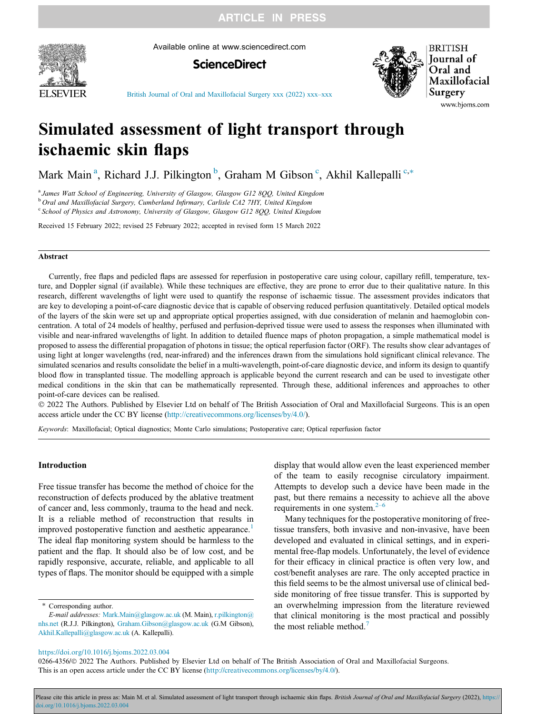**ARTICLE IN PRESS** 



Available online at www.sciencedirect.com





**BRITISH Journal** of Oral and Maxillofacial Surgery www.bjoms.com

[British Journal of Oral and Maxillofacial Surgery xxx \(2022\) xxx](https://doi.org/10.1016/j.bjoms.2022.03.004)–xxx

# Simulated assessment of light transport through ischaemic skin flaps

Mark Main<sup>a</sup>, Richard J.J. Pilkington<sup>b</sup>, Graham M Gibson<sup>c</sup>, Akhil Kallepalli<sup>c,\*</sup>

<sup>a</sup> James Watt School of Engineering, University of Glasgow, Glasgow G12 800, United Kingdom

b Oral and Maxillofacial Surgery, Cumberland Infirmary, Carlisle CA2 7HY, United Kingdom

 $\degree$  School of Physics and Astronomy, University of Glasgow, Glasgow G12 8QQ, United Kingdom

Received 15 February 2022; revised 25 February 2022; accepted in revised form 15 March 2022

# Abstract

Currently, free flaps and pedicled flaps are assessed for reperfusion in postoperative care using colour, capillary refill, temperature, texture, and Doppler signal (if available). While these techniques are effective, they are prone to error due to their qualitative nature. In this research, different wavelengths of light were used to quantify the response of ischaemic tissue. The assessment provides indicators that are key to developing a point-of-care diagnostic device that is capable of observing reduced perfusion quantitatively. Detailed optical models of the layers of the skin were set up and appropriate optical properties assigned, with due consideration of melanin and haemoglobin concentration. A total of 24 models of healthy, perfused and perfusion-deprived tissue were used to assess the responses when illuminated with visible and near-infrared wavelengths of light. In addition to detailed fluence maps of photon propagation, a simple mathematical model is proposed to assess the differential propagation of photons in tissue; the optical reperfusion factor (ORF). The results show clear advantages of using light at longer wavelengths (red, near-infrared) and the inferences drawn from the simulations hold significant clinical relevance. The simulated scenarios and results consolidate the belief in a multi-wavelength, point-of-care diagnostic device, and inform its design to quantify blood flow in transplanted tissue. The modelling approach is applicable beyond the current research and can be used to investigate other medical conditions in the skin that can be mathematically represented. Through these, additional inferences and approaches to other point-of-care devices can be realised.

 2022 The Authors. Published by Elsevier Ltd on behalf of The British Association of Oral and Maxillofacial Surgeons. This is an open access article under the CC BY license (<http://creativecommons.org/licenses/by/4.0/>).

Keywords: Maxillofacial; Optical diagnostics; Monte Carlo simulations; Postoperative care; Optical reperfusion factor

# Introduction

Free tissue transfer has become the method of choice for the reconstruction of defects produced by the ablative treatment of cancer and, less commonly, trauma to the head and neck. It is a reliable method of reconstruction that results in improved postoperative function and aesthetic appearance.<sup>[1](#page-4-0)</sup> The ideal flap monitoring system should be harmless to the patient and the flap. It should also be of low cost, and be rapidly responsive, accurate, reliable, and applicable to all types of flaps. The monitor should be equipped with a simple

\* Corresponding author.

display that would allow even the least experienced member of the team to easily recognise circulatory impairment. Attempts to develop such a device have been made in the past, but there remains a necessity to achieve all the above requirements in one system. $2-6$  $2-6$ 

Many techniques for the postoperative monitoring of freetissue transfers, both invasive and non-invasive, have been developed and evaluated in clinical settings, and in experimental free-flap models. Unfortunately, the level of evidence for their efficacy in clinical practice is often very low, and cost/benefit analyses are rare. The only accepted practice in this field seems to be the almost universal use of clinical bedside monitoring of free tissue transfer. This is supported by an overwhelming impression from the literature reviewed that clinical monitoring is the most practical and possibly the most reliable method. $\frac{7}{3}$  $\frac{7}{3}$  $\frac{7}{3}$ 

<https://doi.org/10.1016/j.bjoms.2022.03.004>

0266-4356/© 2022 The Authors. Published by Elsevier Ltd on behalf of The British Association of Oral and Maxillofacial Surgeons. This is an open access article under the CC BY license [\(http://creativecommons.org/licenses/by/4.0/](http://creativecommons.org/licenses/by/4.0/)).

Please cite this article in press as: Main M. et al. Simulated assessment of light transport through ischaemic skin flaps. British Journal of Oral and Maxillofacial Surgery (2022), https: [doi.org/10.1016/j.bjoms.2022.03.004](https://doi.org/10.1016/j.bjoms.2022.03.004)

E-mail addresses: [Mark.Main@glasgow.ac.uk](mailto:Mark.Main@glasgow.ac.uk) (M. Main), [r.pilkington@](mailto:r.pilkington@nhs.net) [nhs.net](mailto:r.pilkington@nhs.net) (R.J.J. Pilkington), [Graham.Gibson@glasgow.ac.uk](mailto:Graham.Gibson@glasgow.ac.uk) (G.M Gibson), [Akhil.Kallepalli@glasgow.ac.uk](mailto:Akhil.Kallepalli@glasgow.ac.uk) (A. Kallepalli).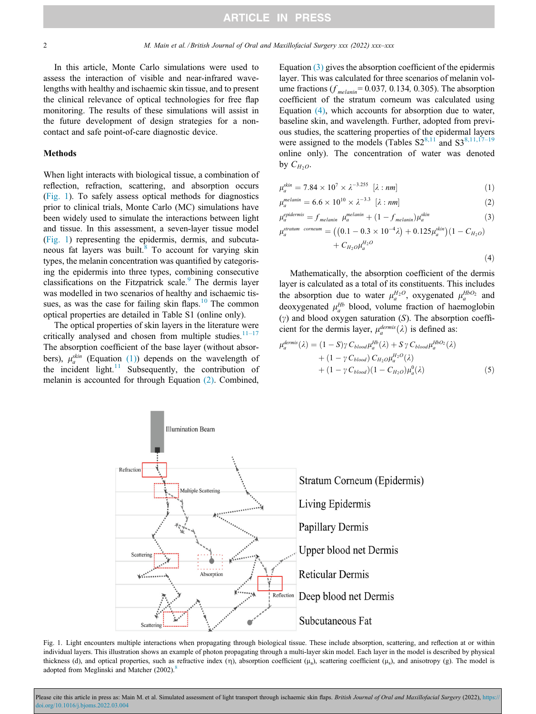<span id="page-1-0"></span>In this article, Monte Carlo simulations were used to assess the interaction of visible and near-infrared wavelengths with healthy and ischaemic skin tissue, and to present the clinical relevance of optical technologies for free flap monitoring. The results of these simulations will assist in the future development of design strategies for a noncontact and safe point-of-care diagnostic device.

#### Methods

When light interacts with biological tissue, a combination of reflection, refraction, scattering, and absorption occurs (Fig. 1). To safely assess optical methods for diagnostics prior to clinical trials, Monte Carlo (MC) simulations have been widely used to simulate the interactions between light and tissue. In this assessment, a seven-layer tissue model (Fig. 1) representing the epidermis, dermis, and subcutaneous fat layers was built. $8$  To account for varying skin types, the melanin concentration was quantified by categorising the epidermis into three types, combining consecutive classifications on the Fitzpatrick scale.<sup>[9](#page-4-0)</sup> The dermis layer was modelled in two scenarios of healthy and ischaemic tissues, as was the case for failing skin flaps. $10$  The common optical properties are detailed in Table S1 (online only).

The optical properties of skin layers in the literature were critically analysed and chosen from multiple studies.<sup>[11](#page-4-0)-17</sup> The absorption coefficient of the base layer (without absorbers),  $\mu_a^{skin}$  (Equation (1)) depends on the wavelength of the incident light.<sup>[11](#page-4-0)</sup> Subsequently, the contribution of melanin is accounted for through Equation (2). Combined,

Equation (3) gives the absorption coefficient of the epidermis layer. This was calculated for three scenarios of melanin volume fractions ( $f_{\text{melanin}}$ = 0.037, 0.134, 0.305). The absorption coefficient of the stratum corneum was calculated using Equation (4), which accounts for absorption due to water, baseline skin, and wavelength. Further, adopted from previous studies, the scattering properties of the epidermal layers were assigned to the models (Tables  $S2^{8,11}$  $S2^{8,11}$  $S2^{8,11}$  and  $S3^{8,11,17-19}$  $S3^{8,11,17-19}$  $S3^{8,11,17-19}$ online only). The concentration of water was denoted by  $C_{H_2O}$ .

$$
\mu_a^{skin} = 7.84 \times 10^7 \times \lambda^{-3.255} \, [\lambda : nm] \tag{1}
$$

$$
\mu_a^{melanin} = 6.6 \times 10^{10} \times \lambda^{-3.3} \quad [\lambda : nm] \tag{2}
$$

$$
\mu_a^{\text{epidermis}} = f_{\text{melanin}} \ \mu_a^{\text{melanin}} + (1 - f_{\text{melanin}}) \mu_a^{\text{skin}} \tag{3}
$$

$$
\mu_a^{stratum \; cornerum} = ((0.1 - 0.3 \times 10^{-4} \lambda) + 0.125 \mu_a^{skin})(1 - C_{H_2O})
$$
  
+  $C_{H_2O} \mu_a^{H_2O}$  (4)

Mathematically, the absorption coefficient of the dermis layer is calculated as a total of its constituents. This includes the absorption due to water  $\mu_a^{H_2O}$ , oxygenated  $\mu_a^{H_2O_2}$  and deoxygenated  $\mu_a^{Hb}$  blood, volume fraction of haemoglobin  $(y)$  and blood oxygen saturation  $(S)$ . The absorption coefficient for the dermis layer,  $\mu_a^{dermis}(\lambda)$  is defined as:

$$
\mu_a^{\text{dermis}}(\lambda) = (1 - S) \gamma \ C_{\text{blood}} \mu_a^{\text{HD}}(\lambda) + S \gamma \ C_{\text{blood}} \mu_a^{\text{HDO}_2}(\lambda) + (1 - \gamma \ C_{\text{blood}}) \ C_{H_2O} \mu_a^{\text{H}_2O}(\lambda) + (1 - \gamma \ C_{\text{blood}}) (1 - C_{H_2O}) \mu_a^0(\lambda)
$$
 (5)



Fig. 1. Light encounters multiple interactions when propagating through biological tissue. These include absorption, scattering, and reflection at or within individual layers. This illustration shows an example of photon propagating through a multi-layer skin model. Each layer in the model is described by physical thickness (d), and optical properties, such as refractive index ( $\eta$ ), absorption coefficient ( $\mu$ <sub>a</sub>), scattering coefficient ( $\mu$ <sub>s</sub>), and anisotropy (g). The model is adopted from Meglinski and Matcher  $(2002)$ .<sup>8</sup>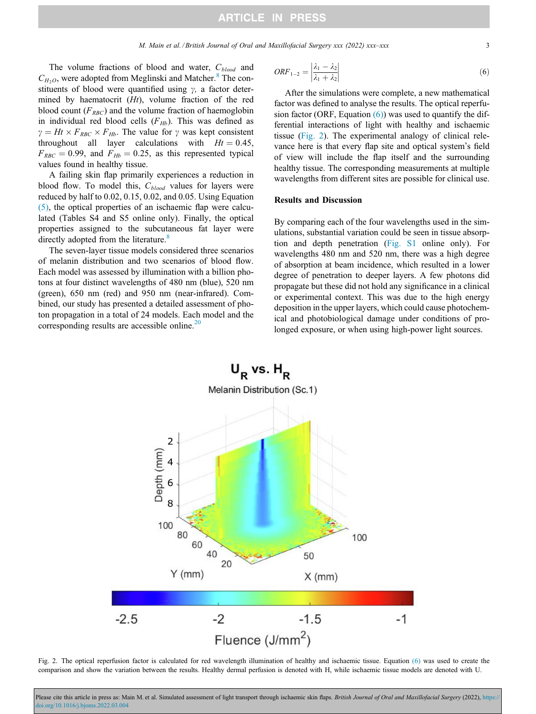<span id="page-2-0"></span>The volume fractions of blood and water,  $C_{blood}$  and  $C_{H_2O}$ , were adopted from Meglinski and Matcher.<sup>[8](#page-4-0)</sup> The constituents of blood were quantified using  $\gamma$ , a factor determined by haematocrit  $(Ht)$ , volume fraction of the red blood count  $(F_{RBC})$  and the volume fraction of haemoglobin in individual red blood cells  $(F_{Hb})$ . This was defined as  $\gamma = Ht \times F_{RBC} \times F_{Hb}$ . The value for  $\gamma$  was kept consistent throughout all layer calculations with  $Ht = 0.45$ ,  $F_{RBC} = 0.99$ , and  $F_{Hb} = 0.25$ , as this represented typical values found in healthy tissue.

A failing skin flap primarily experiences a reduction in blood flow. To model this,  $C_{blood}$  values for layers were reduced by half to 0.02, 0.15, 0.02, and 0.05. Using Equation [\(5\),](#page-1-0) the optical properties of an ischaemic flap were calculated (Tables S4 and S5 online only). Finally, the optical properties assigned to the subcutaneous fat layer were directly adopted from the literature.<sup>[8](#page-4-0)</sup>

The seven-layer tissue models considered three scenarios of melanin distribution and two scenarios of blood flow. Each model was assessed by illumination with a billion photons at four distinct wavelengths of 480 nm (blue), 520 nm (green), 650 nm (red) and 950 nm (near-infrared). Combined, our study has presented a detailed assessment of photon propagation in a total of 24 models. Each model and the corresponding results are accessible online.<sup>[20](#page-4-0)</sup>

$$
ORF_{1-2} = \left| \frac{\lambda_1 - \lambda_2}{\lambda_1 + \lambda_2} \right| \tag{6}
$$

After the simulations were complete, a new mathematical factor was defined to analyse the results. The optical reperfusion factor (ORF, Equation  $(6)$ ) was used to quantify the differential interactions of light with healthy and ischaemic tissue (Fig. 2). The experimental analogy of clinical relevance here is that every flap site and optical system's field of view will include the flap itself and the surrounding healthy tissue. The corresponding measurements at multiple wavelengths from different sites are possible for clinical use.

# Results and Discussion

By comparing each of the four wavelengths used in the simulations, substantial variation could be seen in tissue absorption and depth penetration [\(Fig. S1](#page-4-0) online only). For wavelengths 480 nm and 520 nm, there was a high degree of absorption at beam incidence, which resulted in a lower degree of penetration to deeper layers. A few photons did propagate but these did not hold any significance in a clinical or experimental context. This was due to the high energy deposition in the upper layers, which could cause photochemical and photobiological damage under conditions of prolonged exposure, or when using high-power light sources.



Fig. 2. The optical reperfusion factor is calculated for red wavelength illumination of healthy and ischaemic tissue. Equation (6) was used to create the comparison and show the variation between the results. Healthy dermal perfusion is denoted with H, while ischaemic tissue models are denoted with U.

Please cite this article in press as: Main M. et al. Simulated assessment of light transport through ischaemic skin flaps. British Journal of Oral and Maxillofacial Surgery (2022), https: [doi.org/10.1016/j.bjoms.2022.03.004](https://doi.org/10.1016/j.bjoms.2022.03.004)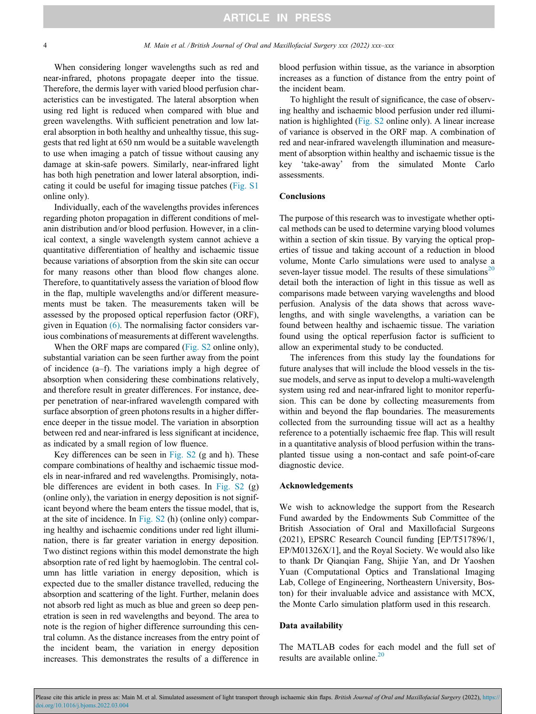When considering longer wavelengths such as red and near-infrared, photons propagate deeper into the tissue. Therefore, the dermis layer with varied blood perfusion characteristics can be investigated. The lateral absorption when using red light is reduced when compared with blue and green wavelengths. With sufficient penetration and low lateral absorption in both healthy and unhealthy tissue, this suggests that red light at 650 nm would be a suitable wavelength to use when imaging a patch of tissue without causing any damage at skin-safe powers. Similarly, near-infrared light has both high penetration and lower lateral absorption, indicating it could be useful for imaging tissue patches ([Fig. S1](#page-4-0) online only).

Individually, each of the wavelengths provides inferences regarding photon propagation in different conditions of melanin distribution and/or blood perfusion. However, in a clinical context, a single wavelength system cannot achieve a quantitative differentiation of healthy and ischaemic tissue because variations of absorption from the skin site can occur for many reasons other than blood flow changes alone. Therefore, to quantitatively assess the variation of blood flow in the flap, multiple wavelengths and/or different measurements must be taken. The measurements taken will be assessed by the proposed optical reperfusion factor (ORF), given in Equation [\(6\)](#page-2-0). The normalising factor considers various combinations of measurements at different wavelengths.

When the ORF maps are compared ([Fig. S2](#page-4-0) online only), substantial variation can be seen further away from the point of incidence (a–f). The variations imply a high degree of absorption when considering these combinations relatively, and therefore result in greater differences. For instance, deeper penetration of near-infrared wavelength compared with surface absorption of green photons results in a higher difference deeper in the tissue model. The variation in absorption between red and near-infrared is less significant at incidence, as indicated by a small region of low fluence.

Key differences can be seen in [Fig. S2](#page-4-0) (g and h). These compare combinations of healthy and ischaemic tissue models in near-infrared and red wavelengths. Promisingly, notable differences are evident in both cases. In [Fig. S2](#page-4-0) (g) (online only), the variation in energy deposition is not significant beyond where the beam enters the tissue model, that is, at the site of incidence. In [Fig. S2](#page-4-0) (h) (online only) comparing healthy and ischaemic conditions under red light illumination, there is far greater variation in energy deposition. Two distinct regions within this model demonstrate the high absorption rate of red light by haemoglobin. The central column has little variation in energy deposition, which is expected due to the smaller distance travelled, reducing the absorption and scattering of the light. Further, melanin does not absorb red light as much as blue and green so deep penetration is seen in red wavelengths and beyond. The area to note is the region of higher difference surrounding this central column. As the distance increases from the entry point of the incident beam, the variation in energy deposition increases. This demonstrates the results of a difference in

blood perfusion within tissue, as the variance in absorption increases as a function of distance from the entry point of the incident beam.

To highlight the result of significance, the case of observing healthy and ischaemic blood perfusion under red illumination is highlighted ([Fig. S2](#page-4-0) online only). A linear increase of variance is observed in the ORF map. A combination of red and near-infrared wavelength illumination and measurement of absorption within healthy and ischaemic tissue is the key 'take-away' from the simulated Monte Carlo assessments.

# Conclusions

The purpose of this research was to investigate whether optical methods can be used to determine varying blood volumes within a section of skin tissue. By varying the optical properties of tissue and taking account of a reduction in blood volume, Monte Carlo simulations were used to analyse a seven-layer tissue model. The results of these simulations<sup>[20](#page-4-0)</sup> detail both the interaction of light in this tissue as well as comparisons made between varying wavelengths and blood perfusion. Analysis of the data shows that across wavelengths, and with single wavelengths, a variation can be found between healthy and ischaemic tissue. The variation found using the optical reperfusion factor is sufficient to allow an experimental study to be conducted.

The inferences from this study lay the foundations for future analyses that will include the blood vessels in the tissue models, and serve as input to develop a multi-wavelength system using red and near-infrared light to monitor reperfusion. This can be done by collecting measurements from within and beyond the flap boundaries. The measurements collected from the surrounding tissue will act as a healthy reference to a potentially ischaemic free flap. This will result in a quantitative analysis of blood perfusion within the transplanted tissue using a non-contact and safe point-of-care diagnostic device.

### Acknowledgements

We wish to acknowledge the support from the Research Fund awarded by the Endowments Sub Committee of the British Association of Oral and Maxillofacial Surgeons (2021), EPSRC Research Council funding [EP/T517896/1, EP/M01326X/1], and the Royal Society. We would also like to thank Dr Qianqian Fang, Shijie Yan, and Dr Yaoshen Yuan (Computational Optics and Translational Imaging Lab, College of Engineering, Northeastern University, Boston) for their invaluable advice and assistance with MCX, the Monte Carlo simulation platform used in this research.

#### Data availability

The MATLAB codes for each model and the full set of results are available online.<sup>[20](#page-4-0)</sup>